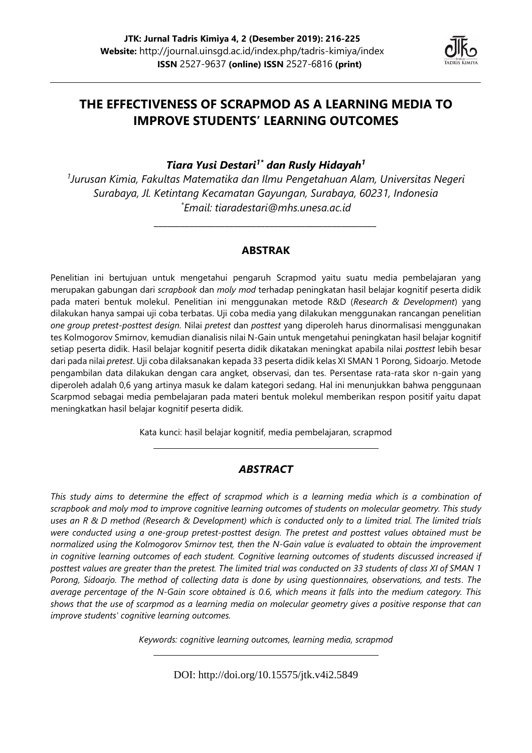

# **THE EFFECTIVENESS OF SCRAPMOD AS A LEARNING MEDIA TO IMPROVE STUDENTS' LEARNING OUTCOMES**

*Tiara Yusi Destari1\* dan Rusly Hidayah<sup>1</sup>*

*1 Jurusan Kimia, Fakultas Matematika dan Ilmu Pengetahuan Alam, Universitas Negeri Surabaya, Jl. Ketintang Kecamatan Gayungan, Surabaya, 60231, Indonesia \* Email: [tiaradestari@mhs.unesa.ac.id](mailto:tiaradestari@mhs.unesa.ac.id)*

#### **ABSTRAK**

*\_\_\_\_\_\_\_\_\_\_\_\_\_\_\_\_\_\_\_\_\_\_\_\_\_\_\_\_\_\_\_\_\_\_\_\_\_\_\_\_\_\_\_\_\_\_\_\_\_\_*

Penelitian ini bertujuan untuk mengetahui pengaruh Scrapmod yaitu suatu media pembelajaran yang merupakan gabungan dari *scrapbook* dan *moly mod* terhadap peningkatan hasil belajar kognitif peserta didik pada materi bentuk molekul. Penelitian ini menggunakan metode R&D (*Research & Development*) yang dilakukan hanya sampai uji coba terbatas. Uji coba media yang dilakukan menggunakan rancangan penelitian *one group pretest-posttest design.* Nilai *pretest* dan *posttest* yang diperoleh harus dinormalisasi menggunakan tes Kolmogorov Smirnov, kemudian dianalisis nilai N-Gain untuk mengetahui peningkatan hasil belajar kognitif setiap peserta didik. Hasil belajar kognitif peserta didik dikatakan meningkat apabila nilai *posttest* lebih besar dari pada nilai *pretest*. Uji coba dilaksanakan kepada 33 peserta didik kelas XI SMAN 1 Porong, Sidoarjo. Metode pengambilan data dilakukan dengan cara angket, observasi, dan tes. Persentase rata-rata skor n-gain yang diperoleh adalah 0,6 yang artinya masuk ke dalam kategori sedang. Hal ini menunjukkan bahwa penggunaan Scarpmod sebagai media pembelajaran pada materi bentuk molekul memberikan respon positif yaitu dapat meningkatkan hasil belajar kognitif peserta didik.

Kata kunci: hasil belajar kognitif, media pembelajaran, scrapmod

## *ABSTRACT*

*This study aims to determine the effect of scrapmod which is a learning media which is a combination of scrapbook and moly mod to improve cognitive learning outcomes of students on molecular geometry. This study uses an R & D method (Research & Development) which is conducted only to a limited trial. The limited trials were conducted using a one-group pretest-posttest design. The pretest and posttest values obtained must be normalized using the Kolmogorov Smirnov test, then the N-Gain value is evaluated to obtain the improvement in cognitive learning outcomes of each student. Cognitive learning outcomes of students discussed increased if posttest values are greater than the pretest. The limited trial was conducted on 33 students of class XI of SMAN 1 Porong, Sidoarjo. The method of collecting data is done by using questionnaires, observations, and tests. The average percentage of the N-Gain score obtained is 0.6, which means it falls into the medium category. This shows that the use of scarpmod as a learning media on molecular geometry gives a positive response that can improve students' cognitive learning outcomes.*

*Keywords: cognitive learning outcomes, learning media, scrapmod*

DOI: http://doi.org/10.15575/jtk.v4i2.5849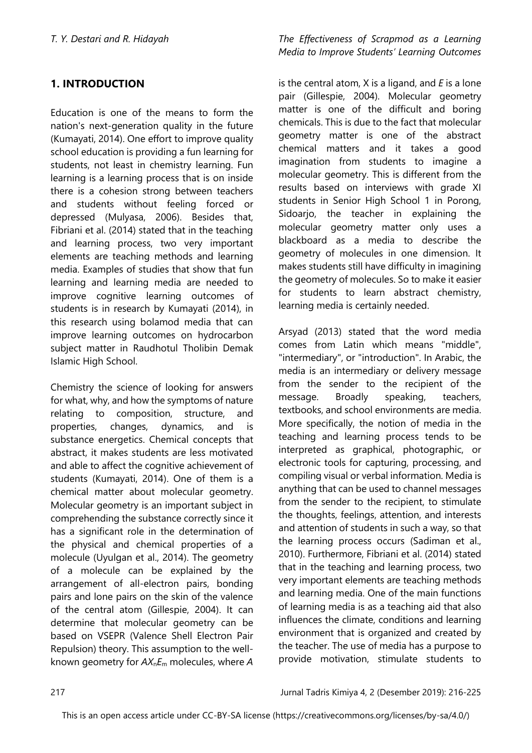## **1. INTRODUCTION**

Education is one of the means to form the nation's next-generation quality in the future (Kumayati, 2014). One effort to improve quality school education is providing a fun learning for students, not least in chemistry learning. Fun learning is a learning process that is on inside there is a cohesion strong between teachers and students without feeling forced or depressed (Mulyasa, 2006). Besides that, Fibriani et al. (2014) stated that in the teaching and learning process, two very important elements are teaching methods and learning media. Examples of studies that show that fun learning and learning media are needed to improve cognitive learning outcomes of students is in research by Kumayati (2014), in this research using bolamod media that can improve learning outcomes on hydrocarbon subject matter in Raudhotul Tholibin Demak Islamic High School.

Chemistry the science of looking for answers for what, why, and how the symptoms of nature relating to composition, structure, and properties, changes, dynamics, and is substance energetics. Chemical concepts that abstract, it makes students are less motivated and able to affect the cognitive achievement of students (Kumayati, 2014). One of them is a chemical matter about molecular geometry. Molecular geometry is an important subject in comprehending the substance correctly since it has a significant role in the determination of the physical and chemical properties of a molecule (Uyulgan et al., 2014). The geometry of a molecule can be explained by the arrangement of all-electron pairs, bonding pairs and lone pairs on the skin of the valence of the central atom (Gillespie, 2004). It can determine that molecular geometry can be based on VSEPR (Valence Shell Electron Pair Repulsion) theory. This assumption to the wellknown geometry for *AX*n*E*<sup>m</sup> molecules, where *A*

*T. Y. Destari and R. Hidayah The Effectiveness of Scrapmod as a Learning Media to Improve Students' Learning Outcomes*

> is the central atom, X is a ligand, and *E* is a lone pair (Gillespie, 2004). Molecular geometry matter is one of the difficult and boring chemicals. This is due to the fact that molecular geometry matter is one of the abstract chemical matters and it takes a good imagination from students to imagine a molecular geometry. This is different from the results based on interviews with grade XI students in Senior High School 1 in Porong, Sidoarjo, the teacher in explaining the molecular geometry matter only uses a blackboard as a media to describe the geometry of molecules in one dimension. It makes students still have difficulty in imagining the geometry of molecules. So to make it easier for students to learn abstract chemistry, learning media is certainly needed.

> Arsyad (2013) stated that the word media comes from Latin which means "middle", "intermediary", or "introduction". In Arabic, the media is an intermediary or delivery message from the sender to the recipient of the message. Broadly speaking, teachers, textbooks, and school environments are media. More specifically, the notion of media in the teaching and learning process tends to be interpreted as graphical, photographic, or electronic tools for capturing, processing, and compiling visual or verbal information. Media is anything that can be used to channel messages from the sender to the recipient, to stimulate the thoughts, feelings, attention, and interests and attention of students in such a way, so that the learning process occurs (Sadiman et al., 2010). Furthermore, Fibriani et al. (2014) stated that in the teaching and learning process, two very important elements are teaching methods and learning media. One of the main functions of learning media is as a teaching aid that also influences the climate, conditions and learning environment that is organized and created by the teacher. The use of media has a purpose to provide motivation, stimulate students to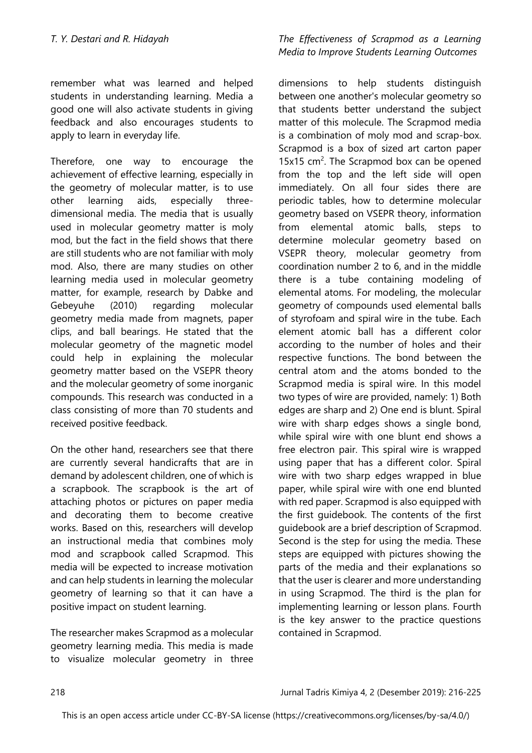remember what was learned and helped students in understanding learning. Media a good one will also activate students in giving feedback and also encourages students to apply to learn in everyday life.

Therefore, one way to encourage the achievement of effective learning, especially in the geometry of molecular matter, is to use other learning aids, especially threedimensional media. The media that is usually used in molecular geometry matter is moly mod, but the fact in the field shows that there are still students who are not familiar with moly mod. Also, there are many studies on other learning media used in molecular geometry matter, for example, research by Dabke and Gebeyuhe (2010) regarding molecular geometry media made from magnets, paper clips, and ball bearings. He stated that the molecular geometry of the magnetic model could help in explaining the molecular geometry matter based on the VSEPR theory and the molecular geometry of some inorganic compounds. This research was conducted in a class consisting of more than 70 students and received positive feedback.

On the other hand, researchers see that there are currently several handicrafts that are in demand by adolescent children, one of which is a scrapbook. The scrapbook is the art of attaching photos or pictures on paper media and decorating them to become creative works. Based on this, researchers will develop an instructional media that combines moly mod and scrapbook called Scrapmod. This media will be expected to increase motivation and can help students in learning the molecular geometry of learning so that it can have a positive impact on student learning.

The researcher makes Scrapmod as a molecular geometry learning media. This media is made to visualize molecular geometry in three

## *T. Y. Destari and R. Hidayah The Effectiveness of Scrapmod as a Learning Media to Improve Students Learning Outcomes*

dimensions to help students distinguish between one another's molecular geometry so that students better understand the subject matter of this molecule. The Scrapmod media is a combination of moly mod and scrap-box. Scrapmod is a box of sized art carton paper 15 $x$ 15 cm<sup>2</sup>. The Scrapmod box can be opened from the top and the left side will open immediately. On all four sides there are periodic tables, how to determine molecular geometry based on VSEPR theory, information from elemental atomic balls, steps to determine molecular geometry based on VSEPR theory, molecular geometry from coordination number 2 to 6, and in the middle there is a tube containing modeling of elemental atoms. For modeling, the molecular geometry of compounds used elemental balls of styrofoam and spiral wire in the tube. Each element atomic ball has a different color according to the number of holes and their respective functions. The bond between the central atom and the atoms bonded to the Scrapmod media is spiral wire. In this model two types of wire are provided, namely: 1) Both edges are sharp and 2) One end is blunt. Spiral wire with sharp edges shows a single bond, while spiral wire with one blunt end shows a free electron pair. This spiral wire is wrapped using paper that has a different color. Spiral wire with two sharp edges wrapped in blue paper, while spiral wire with one end blunted with red paper. Scrapmod is also equipped with the first guidebook. The contents of the first guidebook are a brief description of Scrapmod. Second is the step for using the media. These steps are equipped with pictures showing the parts of the media and their explanations so that the user is clearer and more understanding in using Scrapmod. The third is the plan for implementing learning or lesson plans. Fourth is the key answer to the practice questions contained in Scrapmod.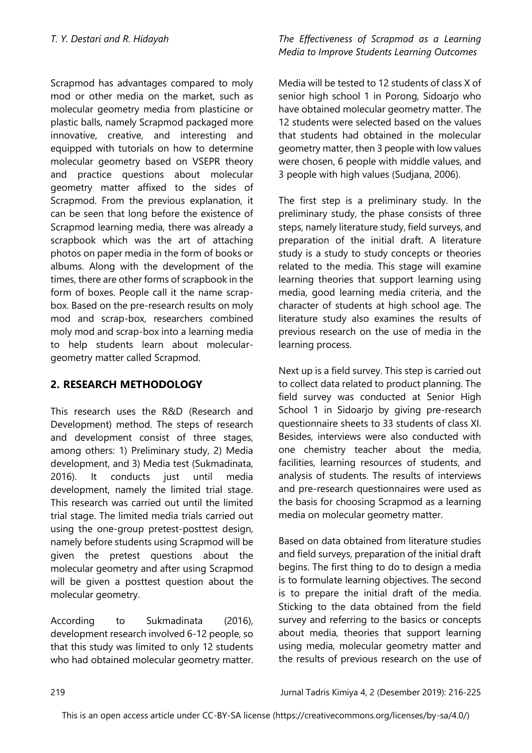Scrapmod has advantages compared to moly mod or other media on the market, such as molecular geometry media from plasticine or plastic balls, namely Scrapmod packaged more innovative, creative, and interesting and equipped with tutorials on how to determine molecular geometry based on VSEPR theory and practice questions about molecular geometry matter affixed to the sides of Scrapmod. From the previous explanation, it can be seen that long before the existence of Scrapmod learning media, there was already a scrapbook which was the art of attaching photos on paper media in the form of books or albums. Along with the development of the times, there are other forms of scrapbook in the form of boxes. People call it the name scrapbox. Based on the pre-research results on moly mod and scrap-box, researchers combined moly mod and scrap-box into a learning media to help students learn about moleculargeometry matter called Scrapmod.

# **2. RESEARCH METHODOLOGY**

This research uses the R&D (Research and Development) method. The steps of research and development consist of three stages, among others: 1) Preliminary study, 2) Media development, and 3) Media test (Sukmadinata, 2016). It conducts just until media development, namely the limited trial stage. This research was carried out until the limited trial stage. The limited media trials carried out using the one-group pretest-posttest design, namely before students using Scrapmod will be given the pretest questions about the molecular geometry and after using Scrapmod will be given a posttest question about the molecular geometry.

According to Sukmadinata (2016), development research involved 6-12 people, so that this study was limited to only 12 students who had obtained molecular geometry matter.

## *T. Y. Destari and R. Hidayah The Effectiveness of Scrapmod as a Learning Media to Improve Students Learning Outcomes*

Media will be tested to 12 students of class X of senior high school 1 in Porong, Sidoarjo who have obtained molecular geometry matter. The 12 students were selected based on the values that students had obtained in the molecular geometry matter, then 3 people with low values were chosen, 6 people with middle values, and 3 people with high values (Sudjana, 2006).

The first step is a preliminary study. In the preliminary study, the phase consists of three steps, namely literature study, field surveys, and preparation of the initial draft. A literature study is a study to study concepts or theories related to the media. This stage will examine learning theories that support learning using media, good learning media criteria, and the character of students at high school age. The literature study also examines the results of previous research on the use of media in the learning process.

Next up is a field survey. This step is carried out to collect data related to product planning. The field survey was conducted at Senior High School 1 in Sidoarjo by giving pre-research questionnaire sheets to 33 students of class XI. Besides, interviews were also conducted with one chemistry teacher about the media, facilities, learning resources of students, and analysis of students. The results of interviews and pre-research questionnaires were used as the basis for choosing Scrapmod as a learning media on molecular geometry matter.

Based on data obtained from literature studies and field surveys, preparation of the initial draft begins. The first thing to do to design a media is to formulate learning objectives. The second is to prepare the initial draft of the media. Sticking to the data obtained from the field survey and referring to the basics or concepts about media, theories that support learning using media, molecular geometry matter and the results of previous research on the use of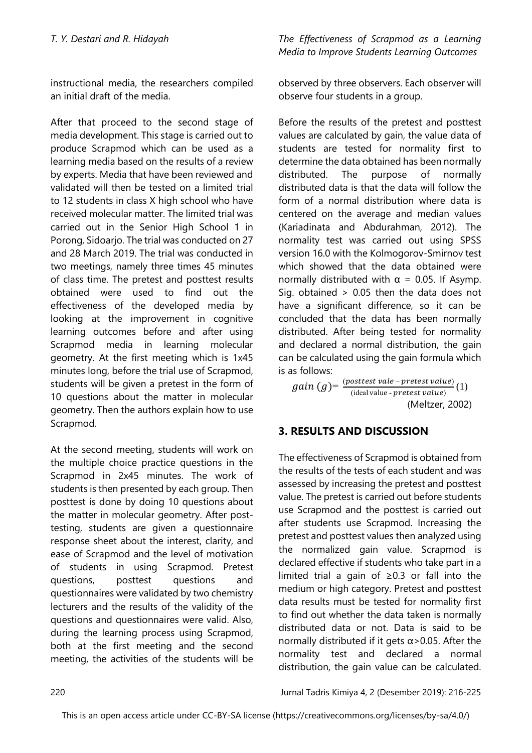instructional media, the researchers compiled an initial draft of the media.

After that proceed to the second stage of media development. This stage is carried out to produce Scrapmod which can be used as a learning media based on the results of a review by experts. Media that have been reviewed and validated will then be tested on a limited trial to 12 students in class X high school who have received molecular matter. The limited trial was carried out in the Senior High School 1 in Porong, Sidoarjo. The trial was conducted on 27 and 28 March 2019. The trial was conducted in two meetings, namely three times 45 minutes of class time. The pretest and posttest results obtained were used to find out the effectiveness of the developed media by looking at the improvement in cognitive learning outcomes before and after using Scrapmod media in learning molecular geometry. At the first meeting which is 1x45 minutes long, before the trial use of Scrapmod, students will be given a pretest in the form of 10 questions about the matter in molecular geometry. Then the authors explain how to use Scrapmod.

At the second meeting, students will work on the multiple choice practice questions in the Scrapmod in 2x45 minutes. The work of students is then presented by each group. Then posttest is done by doing 10 questions about the matter in molecular geometry. After posttesting, students are given a questionnaire response sheet about the interest, clarity, and ease of Scrapmod and the level of motivation of students in using Scrapmod. Pretest questions, posttest questions and questionnaires were validated by two chemistry lecturers and the results of the validity of the questions and questionnaires were valid. Also, during the learning process using Scrapmod, both at the first meeting and the second meeting, the activities of the students will be

*T. Y. Destari and R. Hidayah The Effectiveness of Scrapmod as a Learning Media to Improve Students Learning Outcomes*

> observed by three observers. Each observer will observe four students in a group.

Before the results of the pretest and posttest values are calculated by gain, the value data of students are tested for normality first to determine the data obtained has been normally distributed. The purpose of normally distributed data is that the data will follow the form of a normal distribution where data is centered on the average and median values (Kariadinata and Abdurahman, 2012). The normality test was carried out using SPSS version 16.0 with the Kolmogorov-Smirnov test which showed that the data obtained were normally distributed with  $\alpha = 0.05$ . If Asymp. Sig. obtained > 0.05 then the data does not have a significant difference, so it can be concluded that the data has been normally distributed. After being tested for normality and declared a normal distribution, the gain can be calculated using the gain formula which is as follows:

 $gain(g) = \frac{(posttest\ value - pretest\ value)}{(ideal\ value)}$  $\frac{b}{\text{ideal value}}$  - *pretest value*) (1) (Meltzer, 2002)

# **3. RESULTS AND DISCUSSION**

The effectiveness of Scrapmod is obtained from the results of the tests of each student and was assessed by increasing the pretest and posttest value. The pretest is carried out before students use Scrapmod and the posttest is carried out after students use Scrapmod. Increasing the pretest and posttest values then analyzed using the normalized gain value. Scrapmod is declared effective if students who take part in a limited trial a gain of ≥0.3 or fall into the medium or high category. Pretest and posttest data results must be tested for normality first to find out whether the data taken is normally distributed data or not. Data is said to be normally distributed if it gets  $\alpha$  > 0.05. After the normality test and declared a normal distribution, the gain value can be calculated.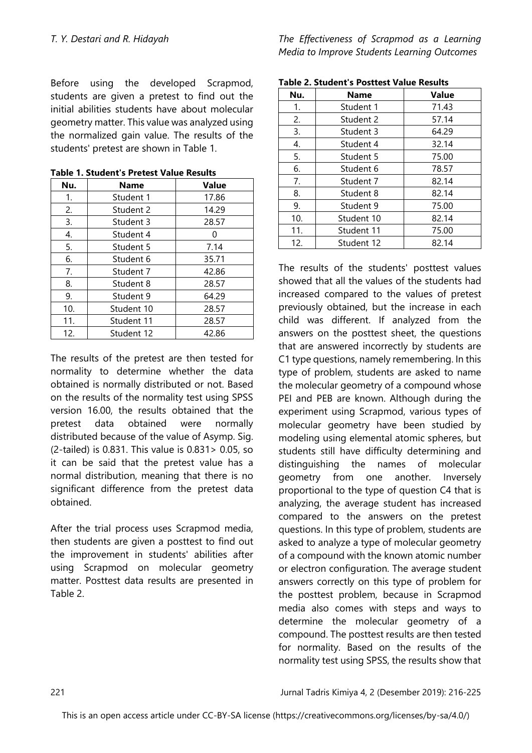Before using the developed Scrapmod, students are given a pretest to find out the initial abilities students have about molecular geometry matter. This value was analyzed using the normalized gain value. The results of the students' pretest are shown in Table 1.

| Nu. | <b>Name</b>        | <b>Value</b> |  |
|-----|--------------------|--------------|--|
| 1.  | Student 1<br>17.86 |              |  |
| 2.  | Student 2          | 14.29        |  |
| 3.  | Student 3          | 28.57        |  |
| 4.  | Student 4          | 0            |  |
| 5.  | Student 5          | 7.14         |  |
| 6.  | Student 6          | 35.71        |  |
| 7.  | Student 7          | 42.86        |  |
| 8.  | Student 8          | 28.57        |  |
| 9.  | Student 9          | 64.29        |  |
| 10. | Student 10         | 28.57        |  |
| 11. | Student 11         | 28.57        |  |
| 12. | Student 12         | 42.86        |  |

**Table 1. Student's Pretest Value Results**

The results of the pretest are then tested for normality to determine whether the data obtained is normally distributed or not. Based on the results of the normality test using SPSS version 16.00, the results obtained that the pretest data obtained were normally distributed because of the value of Asymp. Sig. (2-tailed) is 0.831. This value is 0.831> 0.05, so it can be said that the pretest value has a normal distribution, meaning that there is no significant difference from the pretest data obtained.

After the trial process uses Scrapmod media, then students are given a posttest to find out the improvement in students' abilities after using Scrapmod on molecular geometry matter. Posttest data results are presented in Table 2.

*T. Y. Destari and R. Hidayah The Effectiveness of Scrapmod as a Learning Media to Improve Students Learning Outcomes*

| Table 2. Student's Posttest value Results |             |              |  |  |  |
|-------------------------------------------|-------------|--------------|--|--|--|
| Nu.                                       | <b>Name</b> | <b>Value</b> |  |  |  |
| 1.                                        | Student 1   | 71.43        |  |  |  |
| 2.                                        | Student 2   | 57.14        |  |  |  |
| 3.                                        | Student 3   | 64.29        |  |  |  |
| 4.                                        | Student 4   | 32.14        |  |  |  |
| 5.                                        | Student 5   | 75.00        |  |  |  |
| 6.                                        | Student 6   | 78.57        |  |  |  |
| 7.                                        | Student 7   | 82.14        |  |  |  |
| 8.                                        | Student 8   | 82.14        |  |  |  |
| 9.                                        | Student 9   | 75.00        |  |  |  |
| 10.                                       | Student 10  | 82.14        |  |  |  |
| 11.                                       | Student 11  | 75.00        |  |  |  |
| 12.                                       | Student 12  | 82.14        |  |  |  |

**Table 2. Student's Posttest Value Results**

The results of the students' posttest values showed that all the values of the students had increased compared to the values of pretest previously obtained, but the increase in each child was different. If analyzed from the answers on the posttest sheet, the questions that are answered incorrectly by students are C1 type questions, namely remembering. In this type of problem, students are asked to name the molecular geometry of a compound whose PEI and PEB are known. Although during the experiment using Scrapmod, various types of molecular geometry have been studied by modeling using elemental atomic spheres, but students still have difficulty determining and distinguishing the names of molecular geometry from one another. Inversely proportional to the type of question C4 that is analyzing, the average student has increased compared to the answers on the pretest questions. In this type of problem, students are asked to analyze a type of molecular geometry of a compound with the known atomic number or electron configuration. The average student answers correctly on this type of problem for the posttest problem, because in Scrapmod media also comes with steps and ways to determine the molecular geometry of a compound. The posttest results are then tested for normality. Based on the results of the normality test using SPSS, the results show that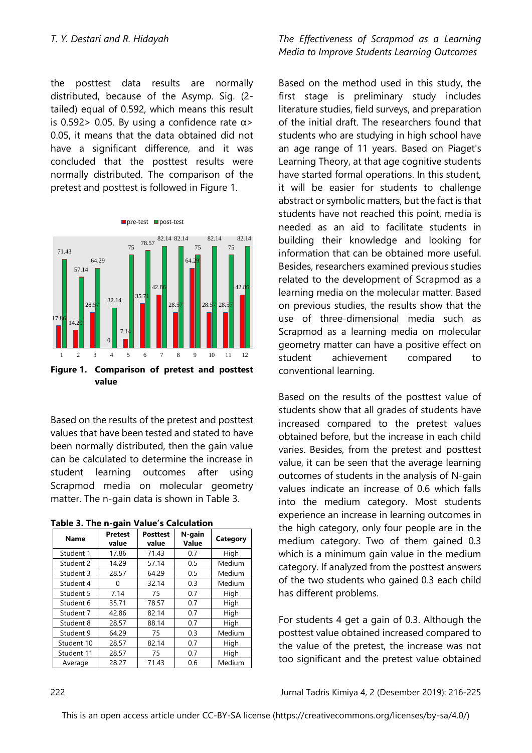the posttest data results are normally distributed, because of the Asymp. Sig. (2 tailed) equal of 0.592, which means this result is 0.592 > 0.05. By using a confidence rate  $\alpha$  > 0.05, it means that the data obtained did not have a significant difference, and it was concluded that the posttest results were normally distributed. The comparison of the pretest and posttest is followed in Figure 1.



**value**

Based on the results of the pretest and posttest values that have been tested and stated to have been normally distributed, then the gain value can be calculated to determine the increase in student learning outcomes after using Scrapmod media on molecular geometry matter. The n-gain data is shown in Table 3.

|  |  |  |  | Table 3. The n-gain Value's Calculation |
|--|--|--|--|-----------------------------------------|
|--|--|--|--|-----------------------------------------|

| <b>Name</b> | <b>Pretest</b><br>value | <b>Posttest</b><br>value | N-gain<br>Value | Category |
|-------------|-------------------------|--------------------------|-----------------|----------|
| Student 1   | 17.86                   | 71.43                    | 0.7             | High     |
| Student 2   | 14.29                   | 57.14                    | 0.5             | Medium   |
| Student 3   | 28.57                   | 64.29                    | 0.5             | Medium   |
| Student 4   | 0                       | 32.14                    | 0.3             | Medium   |
| Student 5   | 7.14                    | 75                       | 0.7             | High     |
| Student 6   | 35.71                   | 78.57                    | 0.7             | High     |
| Student 7   | 42.86                   | 82.14                    | 0.7             | High     |
| Student 8   | 28.57                   | 88.14                    | 0.7             | High     |
| Student 9   | 64.29                   | 75                       | 0.3             | Medium   |
| Student 10  | 28.57                   | 82.14                    | 0.7             | High     |
| Student 11  | 28.57                   | 75                       | 0.7             | High     |
| Average     | 28.27                   | 71.43                    | 0.6             | Medium   |

#### *T. Y. Destari and R. Hidayah The Effectiveness of Scrapmod as a Learning Media to Improve Students Learning Outcomes*

Based on the method used in this study, the first stage is preliminary study includes literature studies, field surveys, and preparation of the initial draft. The researchers found that students who are studying in high school have an age range of 11 years. Based on Piaget's Learning Theory, at that age cognitive students have started formal operations. In this student, it will be easier for students to challenge abstract or symbolic matters, but the fact is that students have not reached this point, media is needed as an aid to facilitate students in building their knowledge and looking for information that can be obtained more useful. Besides, researchers examined previous studies related to the development of Scrapmod as a learning media on the molecular matter. Based on previous studies, the results show that the use of three-dimensional media such as Scrapmod as a learning media on molecular geometry matter can have a positive effect on student achievement compared to conventional learning.

Based on the results of the posttest value of students show that all grades of students have increased compared to the pretest values obtained before, but the increase in each child varies. Besides, from the pretest and posttest value, it can be seen that the average learning outcomes of students in the analysis of N-gain values indicate an increase of 0.6 which falls into the medium category. Most students experience an increase in learning outcomes in the high category, only four people are in the medium category. Two of them gained 0.3 which is a minimum gain value in the medium category. If analyzed from the posttest answers of the two students who gained 0.3 each child has different problems.

For students 4 get a gain of 0.3. Although the posttest value obtained increased compared to the value of the pretest, the increase was not too significant and the pretest value obtained

222 Jurnal Tadris Kimiya 4, 2 (Desember 2019): 216-225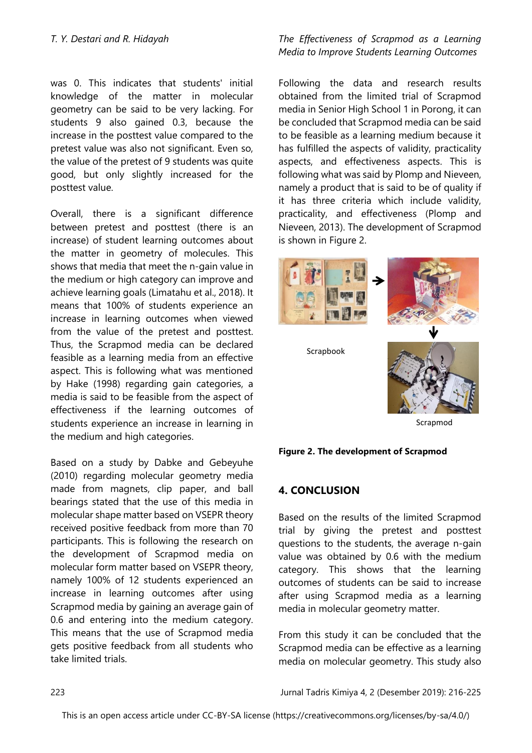was 0. This indicates that students' initial knowledge of the matter in molecular geometry can be said to be very lacking. For students 9 also gained 0.3, because the increase in the posttest value compared to the pretest value was also not significant. Even so, the value of the pretest of 9 students was quite good, but only slightly increased for the posttest value.

Overall, there is a significant difference between pretest and posttest (there is an increase) of student learning outcomes about the matter in geometry of molecules. This shows that media that meet the n-gain value in the medium or high category can improve and achieve learning goals (Limatahu et al., 2018). It means that 100% of students experience an increase in learning outcomes when viewed from the value of the pretest and posttest. Thus, the Scrapmod media can be declared feasible as a learning media from an effective aspect. This is following what was mentioned by Hake (1998) regarding gain categories, a media is said to be feasible from the aspect of effectiveness if the learning outcomes of students experience an increase in learning in the medium and high categories.

Based on a study by Dabke and Gebeyuhe (2010) regarding molecular geometry media made from magnets, clip paper, and ball bearings stated that the use of this media in molecular shape matter based on VSEPR theory received positive feedback from more than 70 participants. This is following the research on the development of Scrapmod media on molecular form matter based on VSEPR theory, namely 100% of 12 students experienced an increase in learning outcomes after using Scrapmod media by gaining an average gain of 0.6 and entering into the medium category. This means that the use of Scrapmod media gets positive feedback from all students who take limited trials.

## *T. Y. Destari and R. Hidayah The Effectiveness of Scrapmod as a Learning Media to Improve Students Learning Outcomes*

Following the data and research results obtained from the limited trial of Scrapmod media in Senior High School 1 in Porong, it can be concluded that Scrapmod media can be said to be feasible as a learning medium because it has fulfilled the aspects of validity, practicality aspects, and effectiveness aspects. This is following what was said by Plomp and Nieveen, namely a product that is said to be of quality if it has three criteria which include validity, practicality, and effectiveness (Plomp and Nieveen, 2013). The development of Scrapmod is shown in Figure 2.





## **4. CONCLUSION**

Based on the results of the limited Scrapmod trial by giving the pretest and posttest questions to the students, the average n-gain value was obtained by 0.6 with the medium category. This shows that the learning outcomes of students can be said to increase after using Scrapmod media as a learning media in molecular geometry matter.

From this study it can be concluded that the Scrapmod media can be effective as a learning media on molecular geometry. This study also

223 Jurnal Tadris Kimiya 4, 2 (Desember 2019): 216-225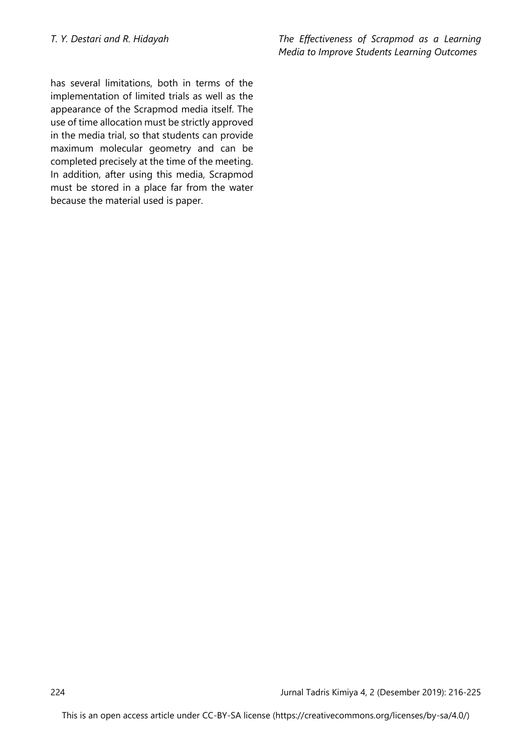has several limitations, both in terms of the implementation of limited trials as well as the appearance of the Scrapmod media itself. The use of time allocation must be strictly approved in the media trial, so that students can provide maximum molecular geometry and can be completed precisely at the time of the meeting. In addition, after using this media, Scrapmod must be stored in a place far from the water because the material used is paper.